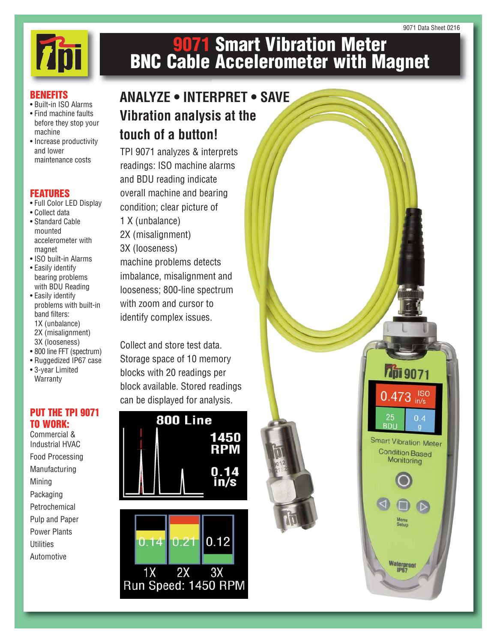

# **9071 Smart Vibration Meter BNC Cable Accelerometer with Magnet**

#### **BENEFITS**

- Built-in ISO Alarms
- Find machine faults before they stop your machine
- Increase productivity and lower maintenance costs

### **FEATURES**

- Full Color LED Display
- Collect data • Standard Cable
- mounted accelerometer with magnet
- ISO built-in Alarms • Easily identify bearing problems with BDU Reading
- Easily identify problems with built-in band filters: 1X (unbalance) 2X (misalignment) 3X (looseness)
- 800 line FFT (spectrum)
- Ruggedized IP67 case • 3-year Limited **Warranty**

### **PUT THE TPI 9071 TO WORK:**

Commercial & Industrial HVAC Food Processing Manufacturing Mining Packaging Petrochemical Pulp and Paper Power Plants **Utilities** Automotive

## **ANALYZE • INTERPRET • SAVE Vibration analysis at the touch of a button!**

TPI 9071 analyzes & interprets readings: ISO machine alarms and BDU reading indicate overall machine and bearing condition; clear picture of 1 X (unbalance) 2X (misalignment) 3X (looseness) machine problems detects imbalance, misalignment and looseness; 800-line spectrum with zoom and cursor to identify complex issues.

Collect and store test data. Storage space of 10 memory blocks with 20 readings per block available. Stored readings can be displayed for analysis.